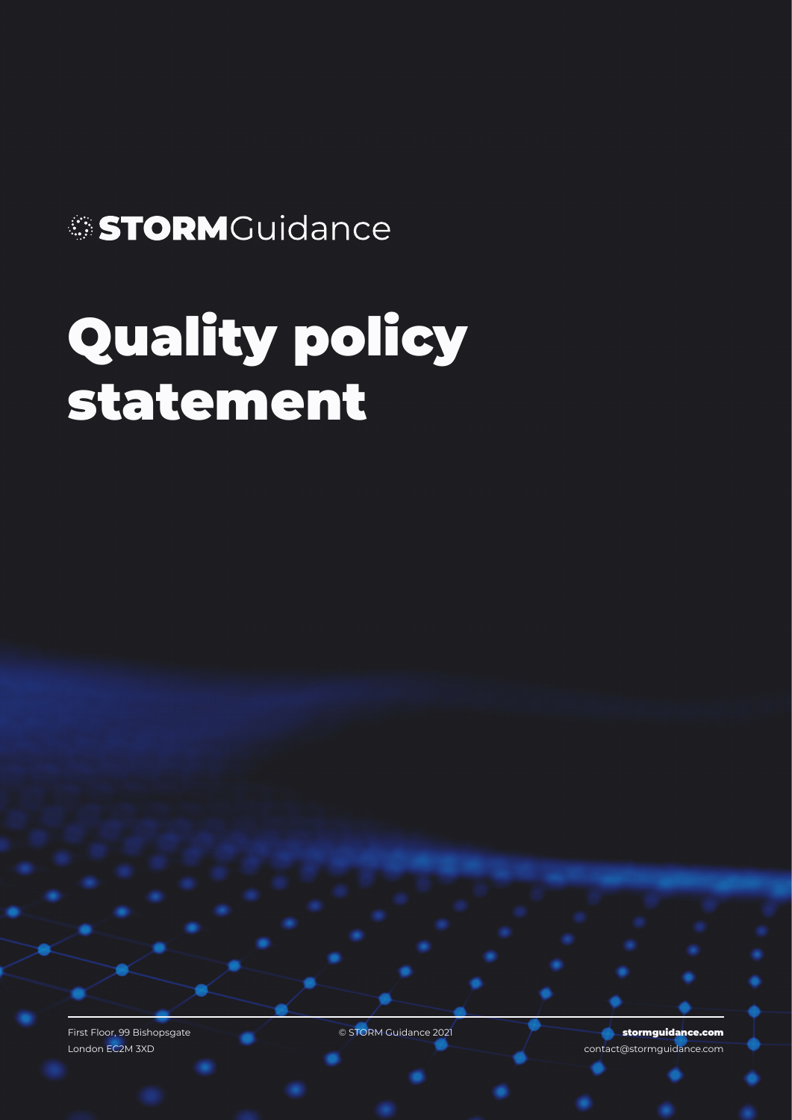## STORMGuidance

## Quality policy statement

First Floor, 99 Bishopsgate **Contract Contract Contract Contract Contract Contract Contract Contract Contract Contract Contract Contract Contract Contract Contract Contract Contract Contract Contract Contract Contract Cont** London EC2M 3XD

**Stormguidance.com** contact@stormguidance.com